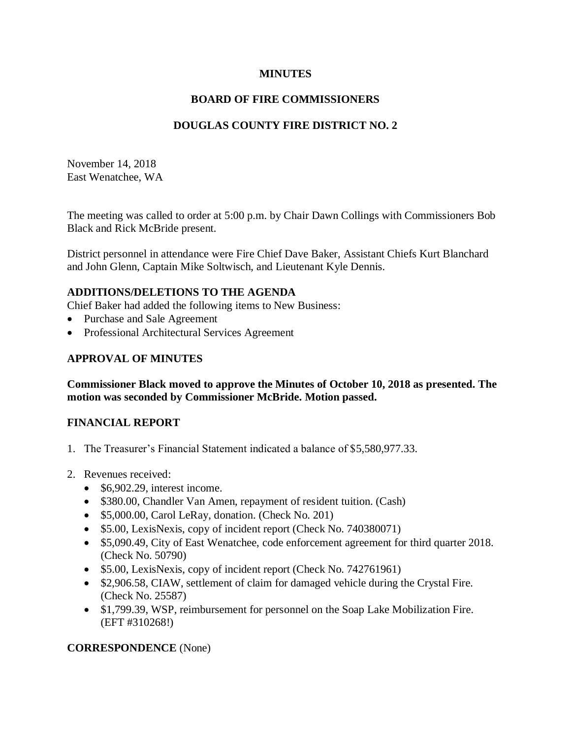## **MINUTES**

## **BOARD OF FIRE COMMISSIONERS**

## **DOUGLAS COUNTY FIRE DISTRICT NO. 2**

November 14, 2018 East Wenatchee, WA

The meeting was called to order at 5:00 p.m. by Chair Dawn Collings with Commissioners Bob Black and Rick McBride present.

District personnel in attendance were Fire Chief Dave Baker, Assistant Chiefs Kurt Blanchard and John Glenn, Captain Mike Soltwisch, and Lieutenant Kyle Dennis.

### **ADDITIONS/DELETIONS TO THE AGENDA**

Chief Baker had added the following items to New Business:

- Purchase and Sale Agreement
- Professional Architectural Services Agreement

### **APPROVAL OF MINUTES**

**Commissioner Black moved to approve the Minutes of October 10, 2018 as presented. The motion was seconded by Commissioner McBride. Motion passed.**

## **FINANCIAL REPORT**

- 1. The Treasurer's Financial Statement indicated a balance of \$5,580,977.33.
- 2. Revenues received:
	- \$6,902.29, interest income.
	- \$380.00, Chandler Van Amen, repayment of resident tuition. (Cash)
	- \$5,000.00, Carol LeRay, donation. (Check No. 201)
	- \$5.00, LexisNexis, copy of incident report (Check No. 740380071)
	- \$5,090.49, City of East Wenatchee, code enforcement agreement for third quarter 2018. (Check No. 50790)
	- \$5.00, LexisNexis, copy of incident report (Check No. 742761961)
	- \$2,906.58, CIAW, settlement of claim for damaged vehicle during the Crystal Fire. (Check No. 25587)
	- \$1,799.39, WSP, reimbursement for personnel on the Soap Lake Mobilization Fire. (EFT #310268!)

#### **CORRESPONDENCE** (None)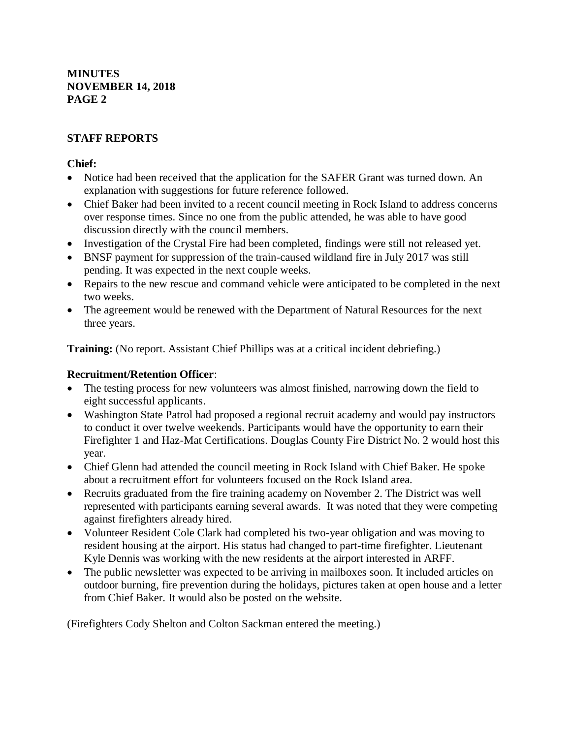# **STAFF REPORTS**

## **Chief:**

- Notice had been received that the application for the SAFER Grant was turned down. An explanation with suggestions for future reference followed.
- Chief Baker had been invited to a recent council meeting in Rock Island to address concerns over response times. Since no one from the public attended, he was able to have good discussion directly with the council members.
- Investigation of the Crystal Fire had been completed, findings were still not released yet.
- BNSF payment for suppression of the train-caused wildland fire in July 2017 was still pending. It was expected in the next couple weeks.
- Repairs to the new rescue and command vehicle were anticipated to be completed in the next two weeks.
- The agreement would be renewed with the Department of Natural Resources for the next three years.

**Training:** (No report. Assistant Chief Phillips was at a critical incident debriefing.)

# **Recruitment/Retention Officer**:

- The testing process for new volunteers was almost finished, narrowing down the field to eight successful applicants.
- Washington State Patrol had proposed a regional recruit academy and would pay instructors to conduct it over twelve weekends. Participants would have the opportunity to earn their Firefighter 1 and Haz-Mat Certifications. Douglas County Fire District No. 2 would host this year.
- Chief Glenn had attended the council meeting in Rock Island with Chief Baker. He spoke about a recruitment effort for volunteers focused on the Rock Island area.
- Recruits graduated from the fire training academy on November 2. The District was well represented with participants earning several awards. It was noted that they were competing against firefighters already hired.
- Volunteer Resident Cole Clark had completed his two-year obligation and was moving to resident housing at the airport. His status had changed to part-time firefighter. Lieutenant Kyle Dennis was working with the new residents at the airport interested in ARFF.
- The public newsletter was expected to be arriving in mailboxes soon. It included articles on outdoor burning, fire prevention during the holidays, pictures taken at open house and a letter from Chief Baker. It would also be posted on the website.

(Firefighters Cody Shelton and Colton Sackman entered the meeting.)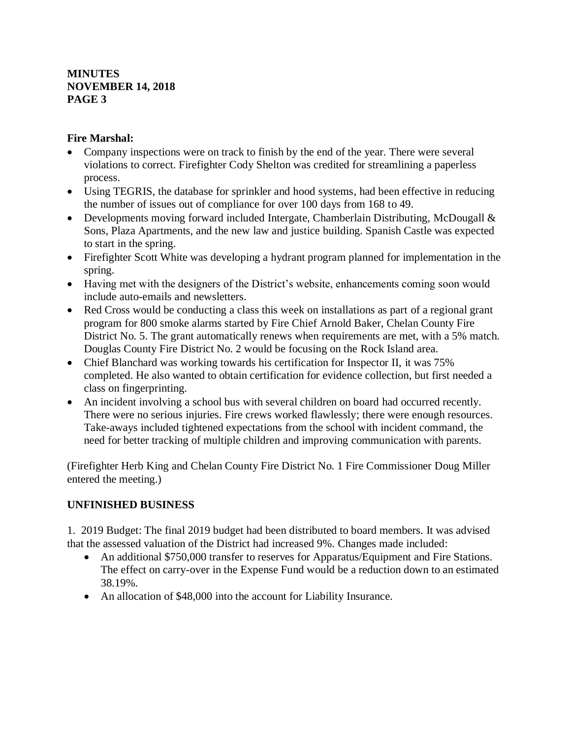## **Fire Marshal:**

- Company inspections were on track to finish by the end of the year. There were several violations to correct. Firefighter Cody Shelton was credited for streamlining a paperless process.
- Using TEGRIS, the database for sprinkler and hood systems, had been effective in reducing the number of issues out of compliance for over 100 days from 168 to 49.
- Developments moving forward included Intergate, Chamberlain Distributing, McDougall & Sons, Plaza Apartments, and the new law and justice building. Spanish Castle was expected to start in the spring.
- Firefighter Scott White was developing a hydrant program planned for implementation in the spring.
- Having met with the designers of the District's website, enhancements coming soon would include auto-emails and newsletters.
- Red Cross would be conducting a class this week on installations as part of a regional grant program for 800 smoke alarms started by Fire Chief Arnold Baker, Chelan County Fire District No. 5. The grant automatically renews when requirements are met, with a 5% match. Douglas County Fire District No. 2 would be focusing on the Rock Island area.
- Chief Blanchard was working towards his certification for Inspector II, it was 75% completed. He also wanted to obtain certification for evidence collection, but first needed a class on fingerprinting.
- An incident involving a school bus with several children on board had occurred recently. There were no serious injuries. Fire crews worked flawlessly; there were enough resources. Take-aways included tightened expectations from the school with incident command, the need for better tracking of multiple children and improving communication with parents.

(Firefighter Herb King and Chelan County Fire District No. 1 Fire Commissioner Doug Miller entered the meeting.)

# **UNFINISHED BUSINESS**

1. 2019 Budget: The final 2019 budget had been distributed to board members. It was advised that the assessed valuation of the District had increased 9%. Changes made included:

- An additional \$750,000 transfer to reserves for Apparatus/Equipment and Fire Stations. The effect on carry-over in the Expense Fund would be a reduction down to an estimated 38.19%.
- An allocation of \$48,000 into the account for Liability Insurance.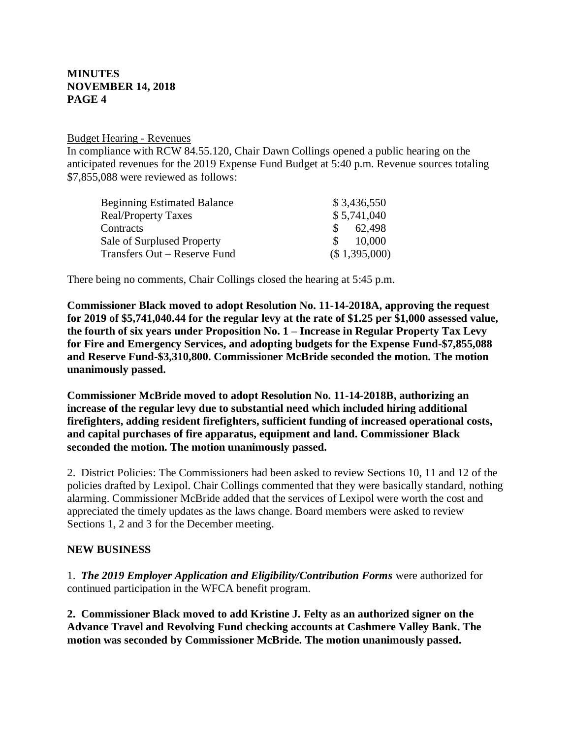#### Budget Hearing - Revenues

In compliance with RCW 84.55.120, Chair Dawn Collings opened a public hearing on the anticipated revenues for the 2019 Expense Fund Budget at 5:40 p.m. Revenue sources totaling \$7,855,088 were reviewed as follows:

| <b>Beginning Estimated Balance</b> | \$3,436,550             |
|------------------------------------|-------------------------|
| <b>Real/Property Taxes</b>         | \$5,741,040             |
| Contracts                          | 62.498<br><sup>S</sup>  |
| Sale of Surplused Property         | 10,000<br>$\mathcal{S}$ |
| Transfers Out – Reserve Fund       | (\$1,395,000)           |

There being no comments, Chair Collings closed the hearing at 5:45 p.m.

**Commissioner Black moved to adopt Resolution No. 11-14-2018A, approving the request for 2019 of \$5,741,040.44 for the regular levy at the rate of \$1.25 per \$1,000 assessed value, the fourth of six years under Proposition No. 1 – Increase in Regular Property Tax Levy for Fire and Emergency Services, and adopting budgets for the Expense Fund-\$7,855,088 and Reserve Fund-\$3,310,800. Commissioner McBride seconded the motion. The motion unanimously passed.**

**Commissioner McBride moved to adopt Resolution No. 11-14-2018B, authorizing an increase of the regular levy due to substantial need which included hiring additional firefighters, adding resident firefighters, sufficient funding of increased operational costs, and capital purchases of fire apparatus, equipment and land. Commissioner Black seconded the motion. The motion unanimously passed.**

2. District Policies: The Commissioners had been asked to review Sections 10, 11 and 12 of the policies drafted by Lexipol. Chair Collings commented that they were basically standard, nothing alarming. Commissioner McBride added that the services of Lexipol were worth the cost and appreciated the timely updates as the laws change. Board members were asked to review Sections 1, 2 and 3 for the December meeting.

#### **NEW BUSINESS**

1. *The 2019 Employer Application and Eligibility/Contribution Forms* were authorized for continued participation in the WFCA benefit program.

**2. Commissioner Black moved to add Kristine J. Felty as an authorized signer on the Advance Travel and Revolving Fund checking accounts at Cashmere Valley Bank. The motion was seconded by Commissioner McBride. The motion unanimously passed.**